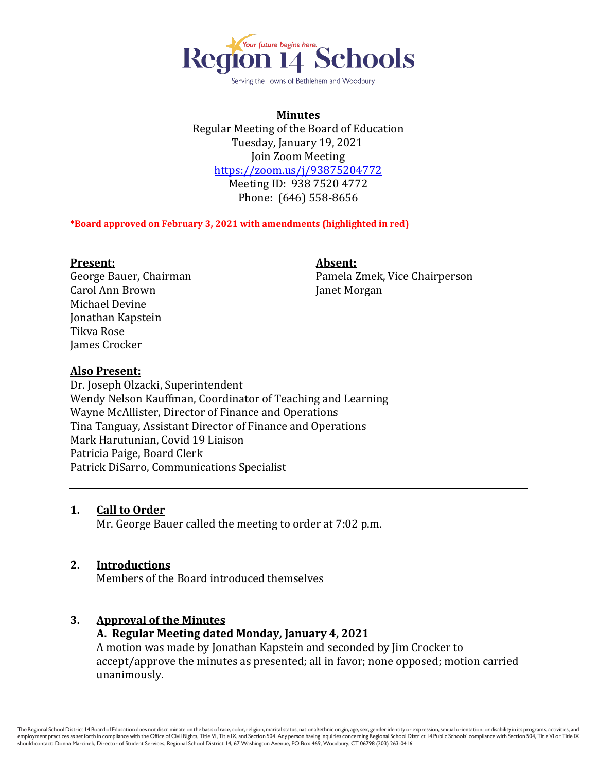

Serving the Towns of Bethlehem and Woodbury

**Minutes** Regular Meeting of the Board of Education Tuesday, January 19, 2021 Join Zoom Meeting <https://zoom.us/j/93875204772> Meeting ID: 938 7520 4772 Phone: (646) 558-8656

#### **\*Board approved on February 3, 2021 with amendments (highlighted in red)**

#### **Present: Absent:**

Carol Ann Brown Janet Morgan Michael Devine Jonathan Kapstein Tikva Rose James Crocker

George Bauer, Chairman Pamela Zmek, Vice Chairperson

## **Also Present:**

Dr. Joseph Olzacki, Superintendent Wendy Nelson Kauffman, Coordinator of Teaching and Learning Wayne McAllister, Director of Finance and Operations Tina Tanguay, Assistant Director of Finance and Operations Mark Harutunian, Covid 19 Liaison Patricia Paige, Board Clerk Patrick DiSarro, Communications Specialist

## **1. Call to Order**

Mr. George Bauer called the meeting to order at 7:02 p.m.

## **2. Introductions**

Members of the Board introduced themselves

## **3. Approval of the Minutes**

## **A. Regular Meeting dated Monday, January 4, 2021**

A motion was made by Jonathan Kapstein and seconded by Jim Crocker to accept/approve the minutes as presented; all in favor; none opposed; motion carried unanimously.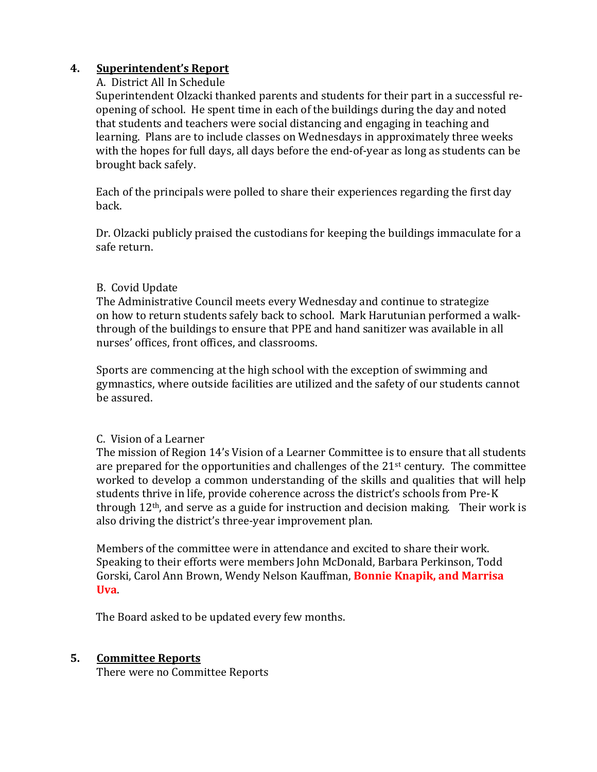# **4. Superintendent's Report**

# A. District All In Schedule

Superintendent Olzacki thanked parents and students for their part in a successful reopening of school. He spent time in each of the buildings during the day and noted that students and teachers were social distancing and engaging in teaching and learning. Plans are to include classes on Wednesdays in approximately three weeks with the hopes for full days, all days before the end-of-year as long as students can be brought back safely.

Each of the principals were polled to share their experiences regarding the first day back.

Dr. Olzacki publicly praised the custodians for keeping the buildings immaculate for a safe return.

# B. Covid Update

The Administrative Council meets every Wednesday and continue to strategize on how to return students safely back to school. Mark Harutunian performed a walkthrough of the buildings to ensure that PPE and hand sanitizer was available in all nurses' offices, front offices, and classrooms.

Sports are commencing at the high school with the exception of swimming and gymnastics, where outside facilities are utilized and the safety of our students cannot be assured.

# C. Vision of a Learner

The mission of Region 14's Vision of a Learner Committee is to ensure that all students are prepared for the opportunities and challenges of the 21st century. The committee worked to develop a common understanding of the skills and qualities that will help students thrive in life, provide coherence across the district's schools from Pre-K through 12th, and serve as a guide for instruction and decision making. Their work is also driving the district's three-year improvement plan.

Members of the committee were in attendance and excited to share their work. Speaking to their efforts were members John McDonald, Barbara Perkinson, Todd Gorski, Carol Ann Brown, Wendy Nelson Kauffman, **Bonnie Knapik, and Marrisa Uva**.

The Board asked to be updated every few months.

# **5. Committee Reports**

There were no Committee Reports